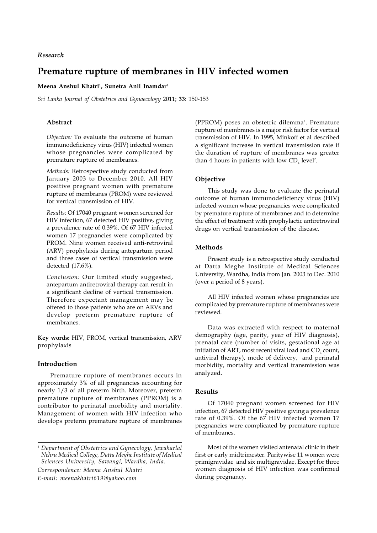# *Research*

# **Premature rupture of membranes in HIV infected women**

# **Meena Anshul Khatri**<sup>1</sup> **, Sunetra Anil Inamdar**<sup>1</sup>

*Sri Lanka Journal of Obstetrics and Gynaecology* 2011; **33**: 150-153

# **Abstract**

*Objective:* To evaluate the outcome of human immunodeficiency virus (HIV) infected women whose pregnancies were complicated by premature rupture of membranes.

*Methods:* Retrospective study conducted from January 2003 to December 2010. All HIV positive pregnant women with premature rupture of membranes (PROM) were reviewed for vertical transmission of HIV.

*Results:* Of 17040 pregnant women screened for HIV infection, 67 detected HIV positive, giving a prevalence rate of 0.39%. Of 67 HIV infected women 17 pregnancies were complicated by PROM. Nine women received anti-retroviral (ARV) prophylaxis during antepartum period and three cases of vertical transmission were detected (17.6%).

*Conclusion:* Our limited study suggested, antepartum antiretroviral therapy can result in a significant decline of vertical transmission. Therefore expectant management may be offered to those patients who are on ARVs and develop preterm premature rupture of membranes.

**Key words:** HIV, PROM, vertical transmission, ARV prophylaxis

# **Introduction**

Premature rupture of membranes occurs in approximately 3% of all pregnancies accounting for nearly 1/3 of all preterm birth. Moreover, preterm premature rupture of membranes (PPROM) is a contributor to perinatal morbidity and mortality. Management of women with HIV infection who develops preterm premature rupture of membranes

(PPROM) poses an obstetric dilemma<sup>1</sup>. Premature rupture of membranes is a major risk factor for vertical transmission of HIV. In 1995, Minkoff et al described a significant increase in vertical transmission rate if the duration of rupture of membranes was greater than 4 hours in patients with low  $CD_4$  level<sup>2</sup>.

#### **Objective**

This study was done to evaluate the perinatal outcome of human immunodeficiency virus (HIV) infected women whose pregnancies were complicated by premature rupture of membranes and to determine the effect of treatment with prophylactic antiretroviral drugs on vertical transmission of the disease.

# **Methods**

Present study is a retrospective study conducted at Datta Meghe Institute of Medical Sciences University, Wardha, India from Jan. 2003 to Dec. 2010 (over a period of 8 years).

All HIV infected women whose pregnancies are complicated by premature rupture of membranes were reviewed.

Data was extracted with respect to maternal demography (age, parity, year of HIV diagnosis), prenatal care (number of visits, gestational age at initiation of ART, most recent viral load and  $\mathrm{CD}_4$  count, antiviral therapy), mode of delivery, and perinatal morbidity, mortality and vertical transmission was analyzed.

# **Results**

Of 17040 pregnant women screened for HIV infection, 67 detected HIV positive giving a prevalence rate of 0.39%. Of the 67 HIV infected women 17 pregnancies were complicated by premature rupture of membranes.

Most of the women visited antenatal clinic in their first or early midtrimester. Paritywise 11 women were primigravidae and six multigravidae. Except for three women diagnosis of HIV infection was confirmed during pregnancy.

<sup>1</sup> *Department of Obstetrics and Gynecology, Jawaharlal Nehru Medical College, Datta Meghe Institute of Medical Sciences University, Sawangi, Wardha, India. Correspondence: Meena Anshul Khatri E-mail: meenakhatri619@yahoo.com*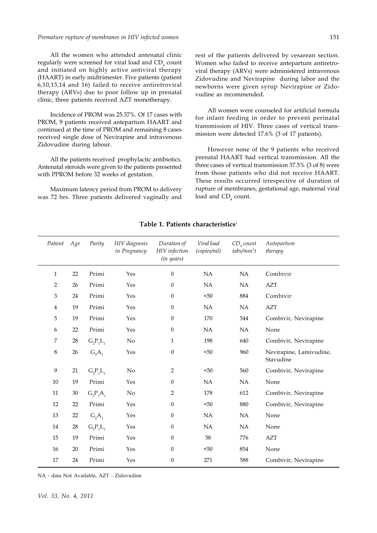#### *Premature rupture of membranes in HIV infected women*

All the women who attended antenatal clinic regularly were screened for viral load and  $\mathrm{CD}_\mathrm{_4}$  count and initiated on highly active antiviral therapy (HAART) in early midtrimester. Five patients (patient 6,10,13,14 and 16) failed to receive antiretroviral therapy (ARVs) due to poor follow up in prenatal clinic, three patients received AZT monotherapy.

Incidence of PROM was 25.37%. Of 17 cases with PROM, 9 patients received antepartum HAART and continued at the time of PROM and remaining 8 cases received single dose of Nevirapine and intravenous Zidovudine during labour.

All the patients received prophylactic antibiotics. Antenatal steroids were given to the patients presented with PPROM before 32 weeks of gestation.

Maximum latency period from PROM to delivery was 72 hrs. Three patients delivered vaginally and rest of the patients delivered by cesarean section. Women who failed to receive antepartum antiretroviral therapy (ARVs) were administered intravenous Zidovudine and Nevirapine during labor and the newborns were given syrup Nevirapine or Zidovudine as recommended.

All women were counseled for artificial formula for infant feeding in order to prevent perinatal transmission of HIV. Three cases of vertical transmission were detected 17.6% (3 of 17 patients).

However none of the 9 patients who received prenatal HAART had vertical transmission. All the three cases of vertical transmission 37.5% (3 of 8) were from those patients who did not receive HAART. These results occurred irrespective of duration of rupture of membranes, gestational age, maternal viral load and  $\mathsf{CD}_4$  count.

| Patient      | Age    | Parity      | HIV diagnosis<br>in Pregnancy | Duration of<br>HIV infection<br>(in years) | Viral load<br>(copies/ml) | CD <sub>a</sub> count<br>$(abs/mm^3)$ | Antepartum<br>therapy                |
|--------------|--------|-------------|-------------------------------|--------------------------------------------|---------------------------|---------------------------------------|--------------------------------------|
| $\mathbf{1}$ | 22     | Primi       | Yes                           | $\mathbf{0}$                               | NA                        | NA                                    | Combivir                             |
| 2            | 26     | Primi       | Yes                           | $\mathbf{0}$                               | NA                        | NA                                    | <b>AZT</b>                           |
| 3            | 24     | Primi       | Yes                           | $\mathbf{0}$                               | < 50                      | 884                                   | Combivir                             |
| 4            | 19     | Primi       | Yes                           | $\mathbf{0}$                               | NA                        | NA                                    | <b>AZT</b>                           |
| 5            | 19     | Primi       | Yes                           | $\mathbf{0}$                               | 170                       | 544                                   | Combivir, Nevirapine                 |
| 6            | 22     | Primi       | Yes                           | $\mathbf{0}$                               | NA                        | NA                                    | None                                 |
| 7            | $28\,$ | $G_2P_1L_1$ | $\rm No$                      | $\mathbf{1}$                               | 198                       | 640                                   | Combivir, Nevirapine                 |
| 8            | 26     | $G_2A_1$    | Yes                           | $\boldsymbol{0}$                           | $50$                      | 960                                   | Nevirapine, Lamivudine,<br>Stavudine |
| 9            | 21     | $G_2P_1L_1$ | No                            | $\overline{2}$                             | $50$                      | 560                                   | Combivir, Nevirapine                 |
| 10           | 19     | Primi       | Yes                           | $\mathbf{0}$                               | NA                        | NA                                    | None                                 |
| 11           | $30\,$ | $G_3P_1A_1$ | No                            | 2                                          | 178                       | 612                                   | Combivir, Nevirapine                 |
| 12           | 22     | Primi       | Yes                           | $\mathbf{0}$                               | $50$                      | 880                                   | Combivir, Nevirapine                 |
| 13           | $22\,$ | $G_2A_1$    | Yes                           | $\mathbf{0}$                               | NA                        | NA                                    | None                                 |
| 14           | 28     | $G_2P_1L_1$ | Yes                           | $\Omega$                                   | NA                        | NA                                    | None                                 |
| 15           | 19     | Primi       | Yes                           | $\theta$                                   | 58                        | 776                                   | <b>AZT</b>                           |
| 16           | 20     | Primi       | Yes                           | $\mathbf{0}$                               | $50$                      | 854                                   | None                                 |
| 17           | 24     | Primi       | Yes                           | $\boldsymbol{0}$                           | 271                       | 588                                   | Combivir, Nevirapine                 |

### **Table 1. Patients characteristics**<sup>1</sup>

NA - data Not Available, AZT - Zidovudine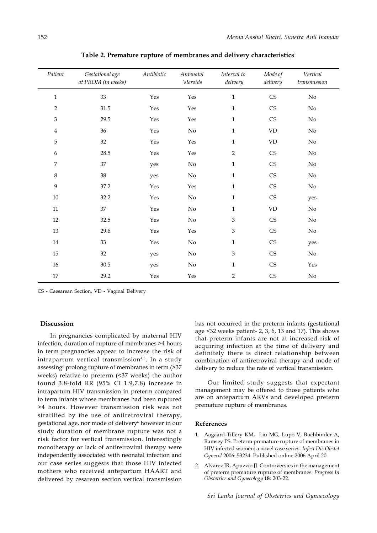| Patient                     | Gestational age<br>at PROM (in weeks) | Antibiotic           | Antenatal<br>$\mathcal{C}$ | Interval to<br>delivery | Mode of<br>delivery        | Vertical<br>transmission |
|-----------------------------|---------------------------------------|----------------------|----------------------------|-------------------------|----------------------------|--------------------------|
| $\mathbf 1$                 | $33\,$                                | Yes                  | Yes                        | $\mathbf{1}$            | $\mathbb{C}\mathbb{S}$     | $\rm No$                 |
| $\overline{2}$              | 31.5                                  | Yes                  | Yes                        | $\mathbf{1}$            | $\mathbb{C}\mathsf{S}$     | $\rm No$                 |
| $\ensuremath{\mathfrak{Z}}$ | 29.5                                  | Yes                  | Yes                        | $\mathbf{1}$            | $\mathop{\rm CS}\nolimits$ | $\rm No$                 |
| $\overline{4}$              | 36                                    | $\operatorname{Yes}$ | $\rm No$                   | $\mathbf{1}$            | $\mathbf{V}\mathbf{D}$     | $\rm No$                 |
| 5                           | 32                                    | Yes                  | Yes                        | $\mathbf{1}$            | $\mbox{VD}$                | $\rm No$                 |
| $\boldsymbol{6}$            | 28.5                                  | Yes                  | Yes                        | $\overline{2}$          | $\mathop{\rm CS}\nolimits$ | $\rm No$                 |
| $\boldsymbol{7}$            | $37\,$                                | yes                  | $\rm No$                   | $\mathbf{1}$            | $\mathbb{C}\mathbb{S}$     | $\rm No$                 |
| $\,8\,$                     | $38\,$                                | yes                  | $\rm No$                   | $\mathbf{1}$            | $\mathbb{C}\mathbb{S}$     | $\rm No$                 |
| 9                           | 37.2                                  | Yes                  | Yes                        | $\mathbf{1}$            | $\mathbb{C}\mathsf{S}$     | $\rm No$                 |
| $10\,$                      | 32.2                                  | Yes                  | $\rm No$                   | $\mathbf{1}$            | $\mathop{\rm CS}\nolimits$ | yes                      |
| 11                          | $37\,$                                | Yes                  | $\rm No$                   | $\mathbf{1}$            | $\mathbf{V}\mathbf{D}$     | No                       |
| $12\,$                      | 32.5                                  | Yes                  | $\rm No$                   | 3                       | $\mathbb{C}\mathsf{S}$     | $\rm No$                 |
| $13\,$                      | 29.6                                  | Yes                  | Yes                        | 3                       | $\mathbb{C}\mathbb{S}$     | $\rm No$                 |
| 14                          | 33                                    | Yes                  | $\rm No$                   | $\mathbf{1}$            | $\mathbb{C}\mathsf{S}$     | yes                      |
| $15\,$                      | 32                                    | yes                  | $\rm No$                   | $\mathfrak{Z}$          | $\mathbb{C}\mathbb{S}$     | No                       |
| 16                          | 30.5                                  | yes                  | No                         | $\mathbf{1}$            | $\mathbb{C}\mathbb{S}$     | Yes                      |
| 17                          | 29.2                                  | Yes                  | Yes                        | 2                       | $\mathbb{C}\mathbb{S}$     | $\rm No$                 |

**Table 2. Premature rupture of membranes and delivery characteristics**<sup>1</sup>

CS - Caesarean Section, VD - Vaginal Delivery

# **Discussion**

In pregnancies complicated by maternal HIV infection, duration of rupture of membranes >4 hours in term pregnancies appear to increase the risk of intrapartum vertical transmission<sup>4,5</sup>. In a study assessing<sup>6</sup> prolong rupture of membranes in term (>37 weeks) relative to preterm (<37 weeks) the author found 3.8-fold RR (95% CI 1.9,7.8) increase in intrapartum HIV transmission in preterm compared to term infants whose membranes had been ruptured >4 hours. However transmission risk was not stratified by the use of antiretroviral therapy, gestational age, nor mode of delivery<sup>6</sup> however in our study duration of membrane rupture was not a risk factor for vertical transmission. Interestingly monotherapy or lack of antiretroviral therapy were independently associated with neonatal infection and our case series suggests that those HIV infected mothers who received antepartum HAART and delivered by cesarean section vertical transmission

has not occurred in the preterm infants (gestational age <32 weeks patient- 2, 3, 6, 13 and 17). This shows that preterm infants are not at increased risk of acquiring infection at the time of delivery and definitely there is direct relationship between combination of antiretroviral therapy and mode of delivery to reduce the rate of vertical transmission.

Our limited study suggests that expectant management may be offered to those patients who are on antepartum ARVs and developed preterm premature rupture of membranes.

### **References**

- 1. Aagaard-Tillery KM, Lin MG, Lupo V, Buchbinder A, Ramsey PS. Preterm premature rupture of membranes in HIV infected women: a novel case series. *Infect Dis Obstet Gynecol* 2006: 53234. Published online 2006 April 20.
- 2. Alvarez JR, Apuzzio JJ. Controversies in the management of preterm premature rupture of membranes. *Progress In Obstetrics and Gynecology* **18**: 203-22.

*Sri Lanka Journal of Obstetrics and Gynaecology*